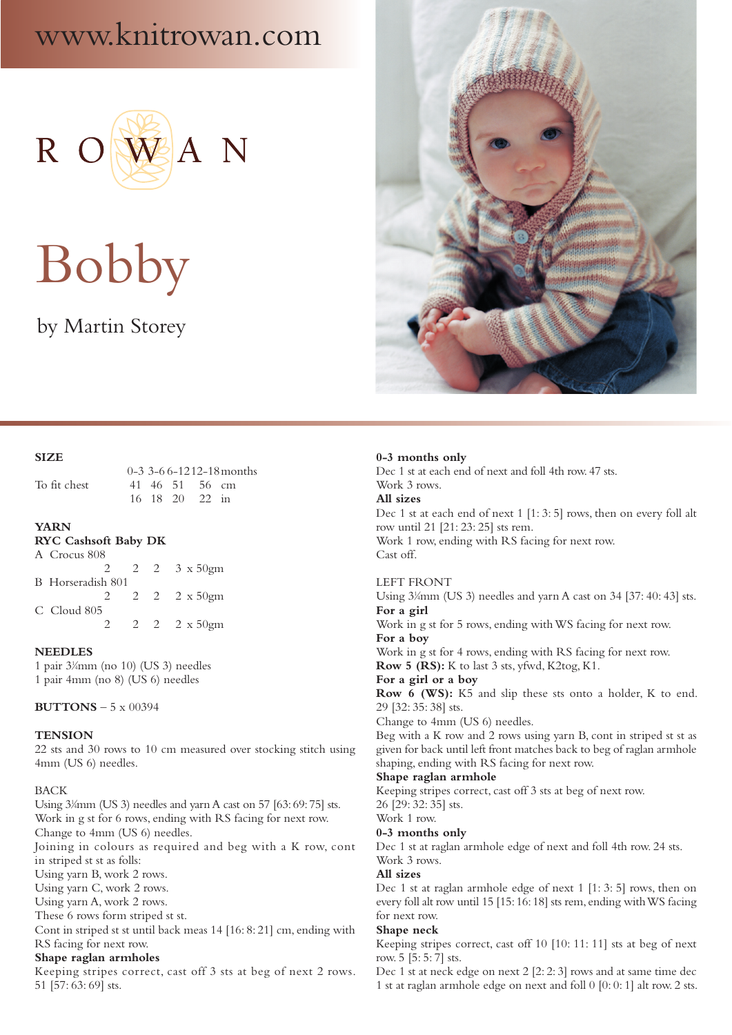## www.knitrowan.com



# Bobby

### by Martin Storey



 0-3 3-6 6-1212-18months To fit chest 41 46 51 56 cm 16 18 20 22 in

#### **YARN**

#### **RYC Cashsoft Baby DK**

| A Crocus 808      |             |                          |
|-------------------|-------------|--------------------------|
|                   |             | 2 2 2 3 $x 50$ gm        |
| B Horseradish 801 |             |                          |
|                   |             | 2 2 2 $\frac{2}{x}$ 50gm |
| C Cloud 805       |             |                          |
|                   | $2^{\circ}$ | 2 2 $2 \times 50$ gm     |

#### **NEEDLES**

1 pair 31 ⁄4mm (no 10) (US 3) needles 1 pair 4mm (no 8) (US 6) needles

**BUTTONS** – 5 x 00394

#### **TENSION**

22 sts and 30 rows to 10 cm measured over stocking stitch using 4mm (US 6) needles.

#### BACK

Using 3<sup>1</sup>/<sub>4</sub>mm (US 3) needles and yarn A cast on 57 [63: 69: 75] sts. Work in g st for 6 rows, ending with RS facing for next row. Change to 4mm (US 6) needles.

Joining in colours as required and beg with a K row, cont in striped st st as folls:

Using yarn B, work 2 rows.

Using yarn C, work 2 rows.

Using yarn A, work 2 rows.

These 6 rows form striped st st.

Cont in striped st st until back meas 14 [16: 8: 21] cm, ending with RS facing for next row.

#### **Shape raglan armholes**

Keeping stripes correct, cast off 3 sts at beg of next 2 rows. 51 [57: 63: 69] sts.



#### **0-3 months only**

Dec 1 st at each end of next and foll 4th row. 47 sts. Work 3 rows. **All sizes** Dec 1 st at each end of next 1 [1: 3: 5] rows, then on every foll alt row until 21 [21: 23: 25] sts rem. Work 1 row, ending with RS facing for next row. Cast off.

#### LEFT FRONT

Using 3¼mm (US 3) needles and yarn A cast on 34 [37: 40: 43] sts. **For a girl** Work in g st for 5 rows, ending with WS facing for next row. **For a boy** Work in g st for 4 rows, ending with RS facing for next row. **Row 5 (RS):** K to last 3 sts, yfwd, K2tog, K1. **For a girl or a boy Row 6 (WS):** K5 and slip these sts onto a holder, K to end. 29 [32: 35: 38] sts. Change to 4mm (US 6) needles. Beg with a K row and 2 rows using yarn B, cont in striped st st as given for back until left front matches back to beg of raglan armhole shaping, ending with RS facing for next row. **Shape raglan armhole**

Keeping stripes correct, cast off 3 sts at beg of next row.

26 [29: 32: 35] sts.

#### Work 1 row.

**0-3 months only**

Dec 1 st at raglan armhole edge of next and foll 4th row. 24 sts. Work 3 rows.

#### **All sizes**

Dec 1 st at raglan armhole edge of next 1 [1: 3: 5] rows, then on every foll alt row until 15 [15: 16: 18] sts rem, ending with WS facing for next row.

#### **Shape neck**

Keeping stripes correct, cast off 10 [10: 11: 11] sts at beg of next row. 5 [5: 5: 7] sts.

Dec 1 st at neck edge on next 2 [2: 2: 3] rows and at same time dec 1 st at raglan armhole edge on next and foll 0 [0: 0: 1] alt row. 2 sts.